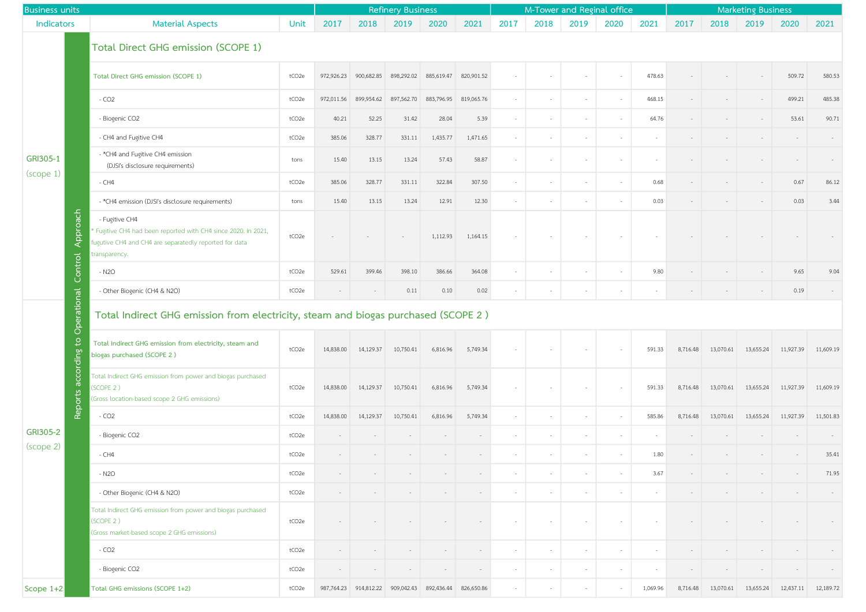| <b>Business units</b>             |                                                                                                                                                           |                   | <b>Refinery Business</b> |                                                |            |            |            | M-Tower and Reginal office |        |        |                          |          | <b>Marketing Business</b> |           |           |           |           |
|-----------------------------------|-----------------------------------------------------------------------------------------------------------------------------------------------------------|-------------------|--------------------------|------------------------------------------------|------------|------------|------------|----------------------------|--------|--------|--------------------------|----------|---------------------------|-----------|-----------|-----------|-----------|
| Indicators                        | <b>Material Aspects</b>                                                                                                                                   | Unit              | 2017                     | 2018                                           | 2019       | 2020       | 2021       | 2017                       | 2018   | 2019   | 2020                     | 2021     | 2017                      | 2018      | 2019      | 2020      | 2021      |
|                                   | Total Direct GHG emission (SCOPE 1)                                                                                                                       |                   |                          |                                                |            |            |            |                            |        |        |                          |          |                           |           |           |           |           |
| GRI305-1<br>(scope 1)<br>Approach | Total Direct GHG emission (SCOPE 1)                                                                                                                       | tCO <sub>2e</sub> | 972,926.23               | 900,682.85                                     | 898,292.02 | 885,619.47 | 820,901.52 |                            |        |        |                          | 478.63   |                           |           |           | 509.72    | 580.53    |
|                                   | $-CO2$                                                                                                                                                    | tCO <sub>2e</sub> | 972,011.56               | 899,954.62                                     | 897,562.70 | 883,796.95 | 819,065.76 |                            |        |        | $\overline{\phantom{a}}$ | 468.15   |                           |           |           | 499.21    | 485.38    |
|                                   | - Biogenic CO2                                                                                                                                            | tCO <sub>2e</sub> | 40.21                    | 52.25                                          | 31.42      | 28.04      | 5.39       |                            |        | $\sim$ | $\sim$                   | 64.76    |                           |           |           | 53.61     | 90.71     |
|                                   | - CH4 and Fugitive CH4                                                                                                                                    | tCO <sub>2e</sub> | 385.06                   | 328.77                                         | 331.11     | 1,435.77   | 1,471.65   |                            |        |        | $\overline{\phantom{a}}$ |          |                           |           |           |           |           |
|                                   | - *CH4 and Fugitive CH4 emission<br>(DJSI's disclosure requirements)                                                                                      | tons              | 15.40                    | 13.15                                          | 13.24      | 57.43      | 58.87      |                            |        | $\sim$ | $\overline{\phantom{a}}$ |          |                           |           |           |           |           |
|                                   | $-CH4$                                                                                                                                                    | tCO <sub>2e</sub> | 385.06                   | 328.77                                         | 331.11     | 322.84     | 307.50     |                            | $\sim$ | $\sim$ | $\overline{\phantom{a}}$ | 0.68     |                           |           |           | 0.67      | 86.12     |
|                                   | - *CH4 emission (DJSI's disclosure requirements)                                                                                                          | tons              | 15.40                    | 13.15                                          | 13.24      | 12.91      | 12.30      |                            |        | $\sim$ | $\overline{\phantom{a}}$ | 0.03     |                           |           |           | 0.03      | 3.44      |
|                                   | - Fugitive CH4<br>Fugitive CH4 had been reported with CH4 since 2020. In 2021,<br>fugutive CH4 and CH4 are separatedly reported for data<br>transparency. | tCO <sub>2e</sub> |                          |                                                |            | 1,112.93   | 1,164.15   |                            |        |        |                          |          |                           |           |           |           |           |
| Control                           | $- N2O$                                                                                                                                                   | tCO2e             | 529.61                   | 399.46                                         | 398.10     | 386.66     | 364.08     |                            |        | $\sim$ | $\sim$                   | 9.80     |                           |           |           | 9.65      | 9.04      |
|                                   | - Other Biogenic (CH4 & N2O)                                                                                                                              | tCO <sub>2e</sub> |                          |                                                | 0.11       | 0.10       | 0.02       |                            |        |        |                          |          |                           |           |           | 0.19      |           |
|                                   | Operational<br>Total Indirect GHG emission from electricity, steam and biogas purchased (SCOPE 2 )                                                        |                   |                          |                                                |            |            |            |                            |        |        |                          |          |                           |           |           |           |           |
| according to                      | Total Indirect GHG emission from electricity, steam and<br>biogas purchased (SCOPE 2)                                                                     | tCO <sub>2e</sub> | 14,838.00                | 14,129.37                                      | 10,750.41  | 6,816.96   | 5,749.34   |                            |        |        |                          | 591.33   | 8,716.48                  | 13,070.61 | 13,655.24 | 11,927.39 | 11,609.19 |
|                                   | Total Indirect GHG emission from power and biogas purchased<br>(SCOPE 2)<br>(Gross location-based scope 2 GHG emissions)                                  | tCO <sub>2e</sub> | 14,838.00                | 14,129.37                                      | 10,750.41  | 6,816.96   | 5,749.34   |                            |        |        | $\overline{\phantom{a}}$ | 591.33   | 8,716.48                  | 13,070.61 | 13,655.24 | 11,927.39 | 11,609.19 |
| <b>Reports</b>                    | $-CO2$                                                                                                                                                    | tCO2e             | 14,838.00                | 14,129.37                                      | 10,750.41  | 6,816.96   | 5,749.34   |                            |        | $\sim$ | $\overline{\phantom{a}}$ | 585.86   | 8,716.48                  | 13,070.61 | 13,655.24 | 11,927.39 | 11,501.83 |
| GRI305-2                          | - Biogenic CO2                                                                                                                                            | tCO <sub>2e</sub> |                          |                                                |            |            |            |                            | $\sim$ | $\sim$ | $\sim$                   |          |                           |           |           |           |           |
| (scope 2)                         | $-CH4$                                                                                                                                                    | tCO <sub>2e</sub> |                          |                                                |            |            |            |                            |        | $\sim$ | $\sim$                   | 1.80     |                           |           |           |           | 35.41     |
|                                   | $- N2O$                                                                                                                                                   | tCO <sub>2e</sub> |                          |                                                |            |            |            |                            |        |        | $\overline{\phantom{a}}$ | 3.67     |                           |           |           |           | 71.95     |
|                                   | - Other Biogenic (CH4 & N2O)                                                                                                                              | tCO <sub>2e</sub> |                          |                                                |            |            |            |                            |        | $\sim$ | $\overline{\phantom{a}}$ | $\sim$   |                           |           |           |           |           |
|                                   | Total Indirect GHG emission from power and biogas purchased<br>(SCOPE 2)<br>(Gross market-based scope 2 GHG emissions)                                    | tCO <sub>2e</sub> |                          |                                                |            |            |            |                            |        | $\sim$ | $\overline{\phantom{a}}$ |          |                           |           |           |           |           |
|                                   | $-CO2$                                                                                                                                                    | tCO <sub>2e</sub> |                          |                                                |            |            | $\sim$     | $\sim$                     | $\sim$ | $\sim$ | $\sim$                   | $\sim$   |                           |           |           |           |           |
|                                   | - Biogenic CO2                                                                                                                                            | tCO <sub>2e</sub> |                          |                                                |            |            |            |                            |        |        | $\overline{\phantom{a}}$ |          |                           |           |           |           |           |
| Scope 1+2                         | Total GHG emissions (SCOPE 1+2)                                                                                                                           | tCO <sub>2e</sub> |                          | 987,764.23  914,812.22  909,042.43  892,436.44 |            |            | 826,650.86 |                            |        |        |                          | 1,069.96 | 8,716.48                  | 13,070.61 | 13,655.24 | 12,437.11 | 12,189.72 |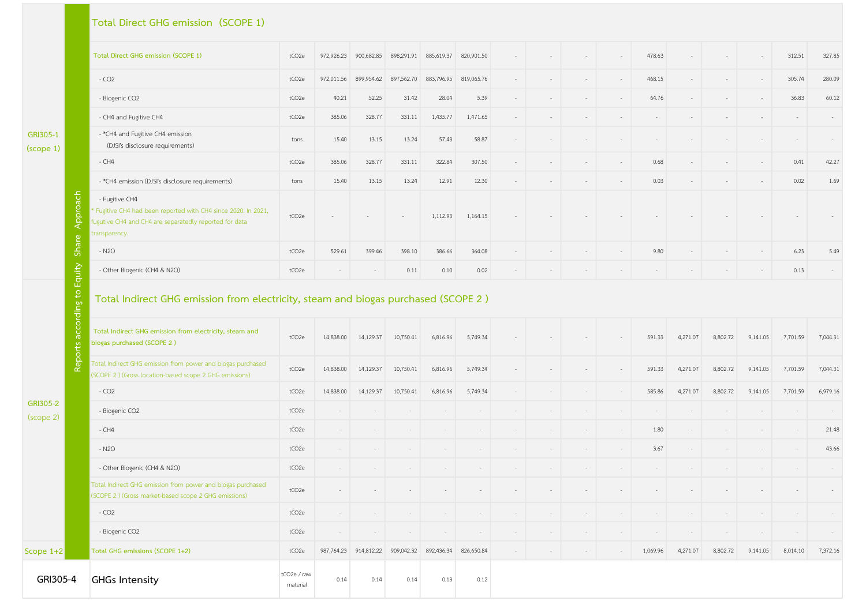## Total Direct GHG emission (SCOPE 1)

GRI305-1 (scope 1)

|      | Total Direct GHG emission (SCOPE 1)                                                                                                                         | tCO <sub>2e</sub> | 972,926.23 | 900,682.85 |            | 898,291.91 885,619.37 | 820,901.50 |  |  |  |  | 478.63 |          |          |          | 312.51   | 327.85   |
|------|-------------------------------------------------------------------------------------------------------------------------------------------------------------|-------------------|------------|------------|------------|-----------------------|------------|--|--|--|--|--------|----------|----------|----------|----------|----------|
|      | $-CO2$                                                                                                                                                      | tCO <sub>2e</sub> | 972,011.56 | 899,954.62 | 897,562.70 | 883,796.95            | 819,065.76 |  |  |  |  | 468.15 |          |          |          | 305.74   | 280.09   |
|      | - Biogenic CO2                                                                                                                                              | tCO <sub>2e</sub> | 40.21      | 52.25      | 31.42      | 28.04                 | 5.39       |  |  |  |  | 64.76  |          |          |          | 36.83    | 60.12    |
|      | - CH4 and Fugitive CH4                                                                                                                                      | tCO <sub>2e</sub> | 385.06     | 328.77     | 331.11     | 1,435.77              | 1,471.65   |  |  |  |  |        |          |          |          |          |          |
|      | - *CH4 and Fugitive CH4 emission<br>(DJSI's disclosure requirements)                                                                                        | tons              | 15.40      | 13.15      | 13.24      | 57.43                 | 58.87      |  |  |  |  |        |          |          |          |          |          |
|      | $-CH4$                                                                                                                                                      | tCO <sub>2e</sub> | 385.06     | 328.77     | 331.11     | 322.84                | 307.50     |  |  |  |  | 0.68   |          |          |          | 0.41     | 42.27    |
|      | - *CH4 emission (DJSI's disclosure requirements)                                                                                                            | tons              | 15.40      | 13.15      | 13.24      | 12.91                 | 12.30      |  |  |  |  | 0.03   |          |          |          | 0.02     | 1.69     |
|      | - Fugitive CH4<br>* Fugitive CH4 had been reported with CH4 since 2020. In 2021,<br>fugutive CH4 and CH4 are separatedly reported for data<br>transparency. | tCO <sub>2e</sub> |            |            |            | 1,112.93              | 1,164.15   |  |  |  |  |        |          |          |          |          |          |
| Shai | $- N2O$                                                                                                                                                     | tCO <sub>2e</sub> | 529.61     | 399.46     | 398.10     | 386.66                | 364.08     |  |  |  |  | 9.80   |          |          |          | 6.23     | 5.49     |
| Б    | - Other Biogenic (CH4 & N2O)                                                                                                                                | tCO <sub>2e</sub> |            |            | 0.11       | 0.10                  | 0.02       |  |  |  |  |        |          |          |          | 0.13     |          |
|      | Total Indirect GHG emission from electricity, steam and biogas purchased (SCOPE 2)                                                                          |                   |            |            |            |                       |            |  |  |  |  |        |          |          |          |          |          |
|      | Total Indirect GHG emission from electricity, steam and<br>biogas purchased (SCOPE 2)                                                                       | tCO <sub>2e</sub> | 14,838.00  | 14,129.37  | 10,750.41  | 6,816.96              | 5,749.34   |  |  |  |  | 591.33 | 4,271.07 | 8,802.72 | 9,141.05 | 7,701.59 | 7,044.31 |
|      | Total Indirect GHG emission from power and biogas purchased                                                                                                 | tCO <sub>2e</sub> | 14,838.00  | 14,129.37  | 10,750.41  | 6,816.96              | 5,749.34   |  |  |  |  | 591.33 | 4,271.07 | 8,802.72 | 9,141.05 | 7,701.59 | 7,044.31 |

## Total Indirect GHG emission from electricity, steam and biogas purchased (SCOPE 2 )

|                                                                       | Total GHG emissions (SCOPE 1+2)                                                                                       | tCO <sub>2e</sub> | 987,764.23 | 914,812.22 |           | 909,042.32 892,436.34 | 826,650.84 |  | $\sim$ | 1,069.96 | 4,271.07 | 8,802.72 | 9,141.05 | 8,014.10 | 7,372.16 |
|-----------------------------------------------------------------------|-----------------------------------------------------------------------------------------------------------------------|-------------------|------------|------------|-----------|-----------------------|------------|--|--------|----------|----------|----------|----------|----------|----------|
| Scope $1+2$                                                           |                                                                                                                       |                   |            |            |           |                       |            |  |        |          |          |          |          |          |          |
|                                                                       | - Biogenic CO2                                                                                                        | tCO2e             |            |            |           |                       |            |  |        |          |          |          |          |          |          |
| $\overline{\circ}$<br>-9<br>ത<br>orts<br>Rep<br>GRI305-2<br>(scope 2) | $-CO2$                                                                                                                | tCO <sub>2e</sub> |            |            |           |                       |            |  |        |          |          |          |          |          |          |
|                                                                       | Total Indirect GHG emission from power and biogas purchased<br>(SCOPE 2) (Gross market-based scope 2 GHG emissions)   | tCO <sub>2e</sub> |            |            |           |                       |            |  |        |          |          |          |          |          |          |
|                                                                       | - Other Biogenic (CH4 & N2O)                                                                                          | tCO2e             |            |            |           |                       |            |  |        |          |          |          |          |          |          |
|                                                                       | $- N2O$                                                                                                               | tCO <sub>2e</sub> |            |            |           |                       |            |  |        | 3.67     |          |          |          |          | 43.66    |
|                                                                       | $-CH4$                                                                                                                | tCO <sub>2e</sub> |            |            |           |                       |            |  | $\sim$ | 1.80     |          |          |          |          | 21.48    |
|                                                                       | - Biogenic CO2                                                                                                        | tCO <sub>2e</sub> |            |            |           |                       |            |  |        |          |          |          |          |          |          |
|                                                                       | $-CO2$                                                                                                                | tCO2e             | 14,838.00  | 14,129.37  | 10,750.41 | 6,816.96              | 5,749.34   |  |        | 585.86   | 4,271.07 | 8,802.72 | 9,141.05 | 7,701.59 | 6,979.16 |
|                                                                       | Total Indirect GHG emission from power and biogas purchased<br>(SCOPE 2) (Gross location-based scope 2 GHG emissions) | tCO <sub>2e</sub> | 14,838.00  | 14,129.37  | 10,750.41 | 6,816.96              | 5,749.34   |  |        | 591.33   | 4,271.07 | 8,802.72 | 9,141.05 | 7,701.59 | 7,044.31 |
|                                                                       | Total Indirect GHG emission from electricity, steam and<br>biogas purchased (SCOPE 2)                                 | tCO <sub>2e</sub> | 14,838.00  | 14,129.37  | 10,750.41 | 6,816.96              | 5,749.34   |  | $\sim$ | 591.33   | 4,271.07 | 8,802.72 | 9,141.05 | 7,701.59 | 7,044.31 |